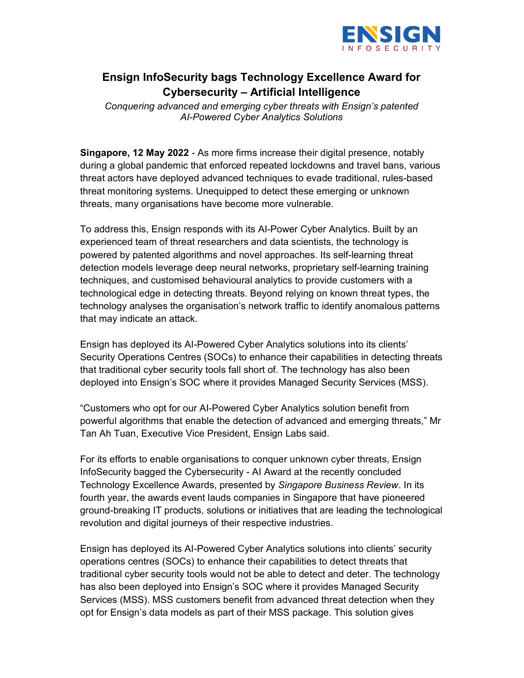

## Ensign InfoSecurity bags Technology Excellence Award for Cybersecurity – Artificial Intelligence

Conquering advanced and emerging cyber threats with Ensign's patented AI-Powered Cyber Analytics Solutions

Singapore, 12 May 2022 - As more firms increase their digital presence, notably during a global pandemic that enforced repeated lockdowns and travel bans, various threat actors have deployed advanced techniques to evade traditional, rules-based threat monitoring systems. Unequipped to detect these emerging or unknown threats, many organisations have become more vulnerable.

To address this, Ensign responds with its AI-Power Cyber Analytics. Built by an experienced team of threat researchers and data scientists, the technology is powered by patented algorithms and novel approaches. Its self-learning threat detection models leverage deep neural networks, proprietary self-learning training techniques, and customised behavioural analytics to provide customers with a technological edge in detecting threats. Beyond relying on known threat types, the technology analyses the organisation's network traffic to identify anomalous patterns that may indicate an attack.

Ensign has deployed its AI-Powered Cyber Analytics solutions into its clients' Security Operations Centres (SOCs) to enhance their capabilities in detecting threats that traditional cyber security tools fall short of. The technology has also been deployed into Ensign's SOC where it provides Managed Security Services (MSS).

"Customers who opt for our AI-Powered Cyber Analytics solution benefit from powerful algorithms that enable the detection of advanced and emerging threats," Mr Tan Ah Tuan, Executive Vice President, Ensign Labs said.

For its efforts to enable organisations to conquer unknown cyber threats, Ensign InfoSecurity bagged the Cybersecurity - AI Award at the recently concluded Technology Excellence Awards, presented by Singapore Business Review. In its fourth year, the awards event lauds companies in Singapore that have pioneered ground-breaking IT products, solutions or initiatives that are leading the technological revolution and digital journeys of their respective industries.

Ensign has deployed its AI-Powered Cyber Analytics solutions into clients' security operations centres (SOCs) to enhance their capabilities to detect threats that traditional cyber security tools would not be able to detect and deter. The technology has also been deployed into Ensign's SOC where it provides Managed Security Services (MSS). MSS customers benefit from advanced threat detection when they opt for Ensign's data models as part of their MSS package. This solution gives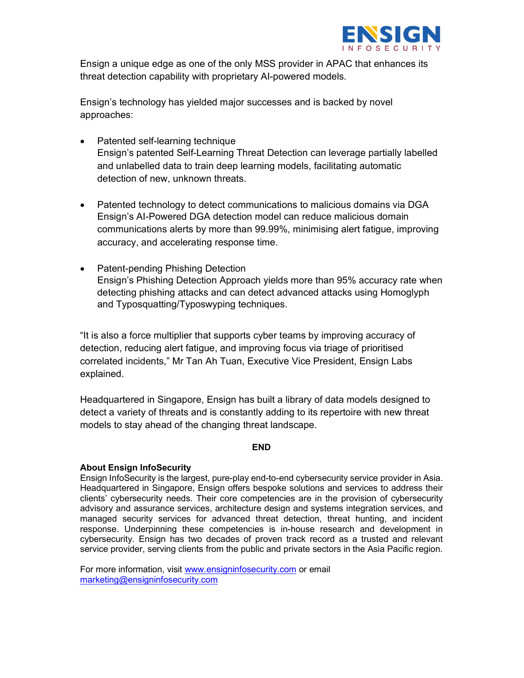

Ensign a unique edge as one of the only MSS provider in APAC that enhances its threat detection capability with proprietary AI-powered models.

Ensign's technology has yielded major successes and is backed by novel approaches:

- Patented self-learning technique Ensign's patented Self-Learning Threat Detection can leverage partially labelled and unlabelled data to train deep learning models, facilitating automatic detection of new, unknown threats.
- Patented technology to detect communications to malicious domains via DGA Ensign's AI-Powered DGA detection model can reduce malicious domain communications alerts by more than 99.99%, minimising alert fatigue, improving accuracy, and accelerating response time.
- Patent-pending Phishing Detection Ensign's Phishing Detection Approach yields more than 95% accuracy rate when detecting phishing attacks and can detect advanced attacks using Homoglyph and Typosquatting/Typoswyping techniques.

"It is also a force multiplier that supports cyber teams by improving accuracy of detection, reducing alert fatigue, and improving focus via triage of prioritised correlated incidents," Mr Tan Ah Tuan, Executive Vice President, Ensign Labs explained.

Headquartered in Singapore, Ensign has built a library of data models designed to detect a variety of threats and is constantly adding to its repertoire with new threat models to stay ahead of the changing threat landscape.

## END

## **About Ensign InfoSecurity**

Ensign InfoSecurity is the largest, pure-play end-to-end cybersecurity service provider in Asia. Headquartered in Singapore, Ensign offers bespoke solutions and services to address their clients' cybersecurity needs. Their core competencies are in the provision of cybersecurity advisory and assurance services, architecture design and systems integration services, and managed security services for advanced threat detection, threat hunting, and incident response. Underpinning these competencies is in-house research and development in cybersecurity. Ensign has two decades of proven track record as a trusted and relevant service provider, serving clients from the public and private sectors in the Asia Pacific region.

For more information, visit www.ensigninfosecurity.com or email marketing@ensigninfosecurity.com